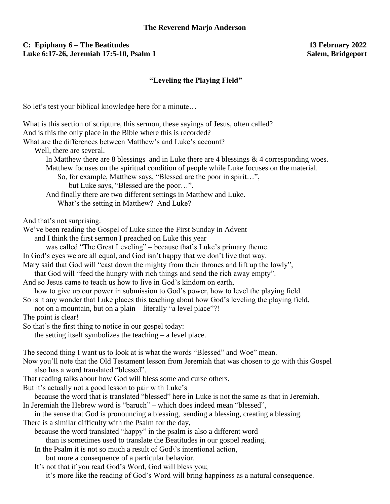## **C: Epiphany 6 – The Beatitudes 13 February 2022** Luke 6:17-26, Jeremiah 17:5-10, Psalm 1

## **"Leveling the Playing Field"**

So let's test your biblical knowledge here for a minute…

| What is this section of scripture, this sermon, these sayings of Jesus, often called?                                    |
|--------------------------------------------------------------------------------------------------------------------------|
| And is this the only place in the Bible where this is recorded?                                                          |
| What are the differences between Matthew's and Luke's account?                                                           |
| Well, there are several.                                                                                                 |
| In Matthew there are 8 blessings and in Luke there are 4 blessings $\&$ 4 corresponding woes.                            |
| Matthew focuses on the spiritual condition of people while Luke focuses on the material.                                 |
| So, for example, Matthew says, "Blessed are the poor in spirit",                                                         |
| but Luke says, "Blessed are the poor".                                                                                   |
| And finally there are two different settings in Matthew and Luke.                                                        |
| What's the setting in Matthew? And Luke?                                                                                 |
| And that's not surprising.                                                                                               |
| We've been reading the Gospel of Luke since the First Sunday in Advent                                                   |
| and I think the first sermon I preached on Luke this year                                                                |
| was called "The Great Leveling" - because that's Luke's primary theme.                                                   |
| In God's eyes we are all equal, and God isn't happy that we don't live that way.                                         |
| Mary said that God will "cast down the mighty from their thrones and lift up the lowly",                                 |
| that God will "feed the hungry with rich things and send the rich away empty".                                           |
| And so Jesus came to teach us how to live in God's kindom on earth,                                                      |
| how to give up our power in submission to God's power, how to level the playing field.                                   |
| So is it any wonder that Luke places this teaching about how God's leveling the playing field,                           |
| not on a mountain, but on a plain – literally "a level place"?!                                                          |
| The point is clear!                                                                                                      |
| So that's the first thing to notice in our gospel today:                                                                 |
| the setting itself symbolizes the teaching $-$ a level place.                                                            |
| The second thing I want us to look at is what the words "Blessed" and Woe" mean.                                         |
| Now you'll note that the Old Testament lesson from Jeremiah that was chosen to go with this Gospel                       |
| also has a word translated "blessed".                                                                                    |
| That reading talks about how God will bless some and curse others.                                                       |
| But it's actually not a good lesson to pair with Luke's                                                                  |
| because the word that is translated "blessed" here in Luke is not the same as that in Jeremiah.                          |
| In Jeremiah the Hebrew word is "baruch" - which does indeed mean "blessed",                                              |
| in the sense that God is pronouncing a blessing, sending a blessing, creating a blessing.                                |
| There is a similar difficulty with the Psalm for the day,                                                                |
| because the word translated "happy" in the psalm is also a different word                                                |
| than is sometimes used to translate the Beatitudes in our gospel reading.                                                |
| In the Psalm it is not so much a result of God's intentional action,<br>but more a consequence of a particular behavior. |
| It's not that if you read God's Word, God will bless you;                                                                |
| it's more like the reading of God's Word will bring happiness as a natural consequence.                                  |
|                                                                                                                          |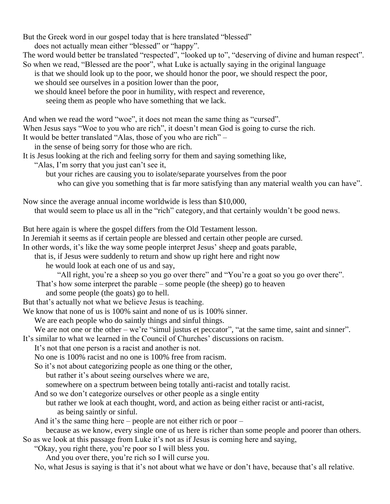But the Greek word in our gospel today that is here translated "blessed"

does not actually mean either "blessed" or "happy".

The word would better be translated "respected", "looked up to", "deserving of divine and human respect".

- So when we read, "Blessed are the poor", what Luke is actually saying in the original language is that we should look up to the poor, we should honor the poor, we should respect the poor, we should see ourselves in a position lower than the poor,
	- we should kneel before the poor in humility, with respect and reverence,
		- seeing them as people who have something that we lack.

And when we read the word "woe", it does not mean the same thing as "cursed".

When Jesus says "Woe to you who are rich", it doesn't mean God is going to curse the rich.

- It would be better translated "Alas, those of you who are rich" –
- in the sense of being sorry for those who are rich.
- It is Jesus looking at the rich and feeling sorry for them and saying something like,
	- "Alas, I'm sorry that you just can't see it,

but your riches are causing you to isolate/separate yourselves from the poor

who can give you something that is far more satisfying than any material wealth you can have".

Now since the average annual income worldwide is less than \$10,000,

that would seem to place us all in the "rich" category, and that certainly wouldn't be good news.

But here again is where the gospel differs from the Old Testament lesson.

In Jeremiah it seems as if certain people are blessed and certain other people are cursed.

In other words, it's like the way some people interpret Jesus' sheep and goats parable,

that is, if Jesus were suddenly to return and show up right here and right now

he would look at each one of us and say,

"All right, you're a sheep so you go over there" and "You're a goat so you go over there".

That's how some interpret the parable – some people (the sheep) go to heaven

and some people (the goats) go to hell.

But that's actually not what we believe Jesus is teaching.

We know that none of us is 100% saint and none of us is 100% sinner.

We are each people who do saintly things and sinful things.

We are not one or the other – we're "simul justus et peccator", "at the same time, saint and sinner".

It's similar to what we learned in the Council of Churches' discussions on racism.

It's not that one person is a racist and another is not.

No one is 100% racist and no one is 100% free from racism.

So it's not about categorizing people as one thing or the other,

but rather it's about seeing ourselves where we are,

somewhere on a spectrum between being totally anti-racist and totally racist.

And so we don't categorize ourselves or other people as a single entity

but rather we look at each thought, word, and action as being either racist or anti-racist, as being saintly or sinful.

And it's the same thing here – people are not either rich or poor –

because as we know, every single one of us here is richer than some people and poorer than others. So as we look at this passage from Luke it's not as if Jesus is coming here and saying,

"Okay, you right there, you're poor so I will bless you.

And you over there, you're rich so I will curse you.

No, what Jesus is saying is that it's not about what we have or don't have, because that's all relative.